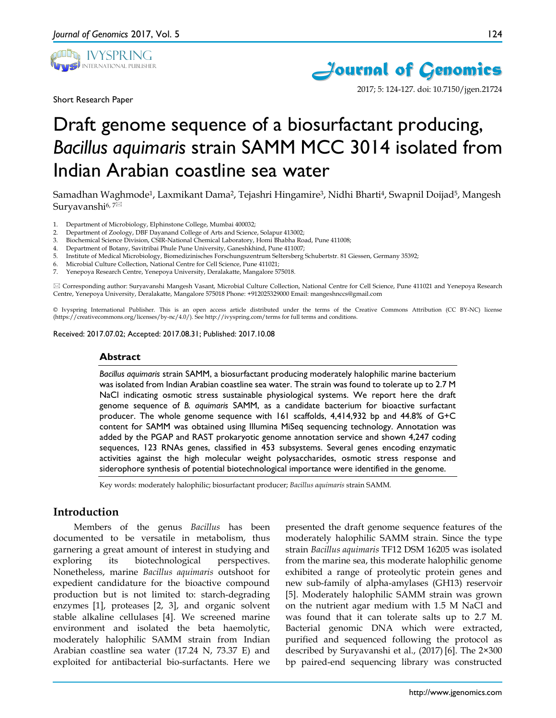

Short Research Paper



2017; 5: 124-127. doi: 10.7150/jgen.21724

# Draft genome sequence of a biosurfactant producing, *Bacillus aquimaris* strain SAMM MCC 3014 isolated from Indian Arabian coastline sea water

Samadhan Waghmode<sup>1</sup>, Laxmikant Dama<sup>2</sup>, Tejashri Hingamire<sup>3</sup>, Nidhi Bharti<sup>4</sup>, Swapnil Doijad<sup>5</sup>, Mangesh Suryavanshi<sup>6,7⊠</sup>

- 1. Department of Microbiology, Elphinstone College, Mumbai 400032;
- 2. Department of Zoology, DBF Dayanand College of Arts and Science, Solapur 413002;
- 3. Biochemical Science Division, CSIR-National Chemical Laboratory, Homi Bhabha Road, Pune 411008;
- 4. Department of Botany, Savitribai Phule Pune University, Ganeshkhind, Pune 411007;
- 5. Institute of Medical Microbiology, Biomedizinisches Forschungszentrum Seltersberg Schubertstr. 81 Giessen, Germany 35392;
- 6. Microbial Culture Collection, National Centre for Cell Science, Pune 411021;
- 7. Yenepoya Research Centre, Yenepoya University, Deralakatte, Mangalore 575018.

 Corresponding author: Suryavanshi Mangesh Vasant, Microbial Culture Collection, National Centre for Cell Science, Pune 411021 and Yenepoya Research Centre, Yenepoya University, Deralakatte, Mangalore 575018 Phone: +912025329000 Email: mangeshnccs@gmail.com

© Ivyspring International Publisher. This is an open access article distributed under the terms of the Creative Commons Attribution (CC BY-NC) license (https://creativecommons.org/licenses/by-nc/4.0/). See http://ivyspring.com/terms for full terms and conditions.

Received: 2017.07.02; Accepted: 2017.08.31; Published: 2017.10.08

#### **Abstract**

*Bacillus aquimaris* strain SAMM, a biosurfactant producing moderately halophilic marine bacterium was isolated from Indian Arabian coastline sea water. The strain was found to tolerate up to 2.7 M NaCl indicating osmotic stress sustainable physiological systems. We report here the draft genome sequence of *B. aquimaris* SAMM, as a candidate bacterium for bioactive surfactant producer. The whole genome sequence with 161 scaffolds, 4,414,932 bp and 44.8% of G+C content for SAMM was obtained using Illumina MiSeq sequencing technology. Annotation was added by the PGAP and RAST prokaryotic genome annotation service and shown 4,247 coding sequences, 123 RNAs genes, classified in 453 subsystems. Several genes encoding enzymatic activities against the high molecular weight polysaccharides, osmotic stress response and siderophore synthesis of potential biotechnological importance were identified in the genome.

Key words: moderately halophilic; biosurfactant producer; *Bacillus aquimaris* strain SAMM.

## **Introduction**

Members of the genus *Bacillus* has been documented to be versatile in metabolism, thus garnering a great amount of interest in studying and exploring its biotechnological perspectives. Nonetheless, marine *Bacillus aquimaris* outshoot for expedient candidature for the bioactive compound production but is not limited to: starch-degrading enzymes [1], proteases [2, 3], and organic solvent stable alkaline cellulases [4]. We screened marine environment and isolated the beta haemolytic, moderately halophilic SAMM strain from Indian Arabian coastline sea water (17.24 N, 73.37 E) and exploited for antibacterial bio-surfactants. Here we

presented the draft genome sequence features of the moderately halophilic SAMM strain. Since the type strain *Bacillus aquimaris* TF12 DSM 16205 was isolated from the marine sea, this moderate halophilic genome exhibited a range of proteolytic protein genes and new sub-family of alpha-amylases (GH13) reservoir [5]. Moderately halophilic SAMM strain was grown on the nutrient agar medium with 1.5 M NaCl and was found that it can tolerate salts up to 2.7 M. Bacterial genomic DNA which were extracted, purified and sequenced following the protocol as described by Suryavanshi et al., (2017) [6]. The 2×300 bp paired-end sequencing library was constructed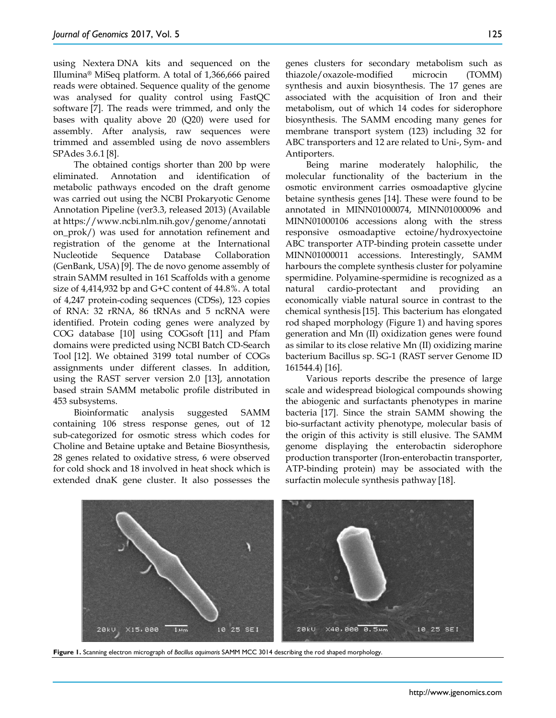using Nextera DNA kits and sequenced on the Illumina® MiSeq platform. A total of 1,366,666 paired reads were obtained. Sequence quality of the genome was analysed for quality control using FastQC software [7]. The reads were trimmed, and only the bases with quality above 20 (Q20) were used for assembly. After analysis, raw sequences were trimmed and assembled using de novo assemblers SPAdes 3.6.1 [8].

The obtained contigs shorter than 200 bp were eliminated. Annotation and identification of metabolic pathways encoded on the draft genome was carried out using the NCBI Prokaryotic Genome Annotation Pipeline (ver3.3, released 2013) (Available at https://www.ncbi.nlm.nih.gov/genome/annotati on\_prok/) was used for annotation refinement and registration of the genome at the International Nucleotide Sequence Database Collaboration (GenBank, USA) [9]. The de novo genome assembly of strain SAMM resulted in 161 Scaffolds with a genome size of 4,414,932 bp and G+C content of 44.8%. A total of 4,247 protein-coding sequences (CDSs), 123 copies of RNA: 32 rRNA, 86 tRNAs and 5 ncRNA were identified. Protein coding genes were analyzed by COG database [10] using COGsoft [11] and Pfam domains were predicted using NCBI Batch CD-Search Tool [12]. We obtained 3199 total number of COGs assignments under different classes. In addition, using the RAST server version 2.0 [13], annotation based strain SAMM metabolic profile distributed in 453 subsystems.

Bioinformatic analysis suggested SAMM containing 106 stress response genes, out of 12 sub-categorized for osmotic stress which codes for Choline and Betaine uptake and Betaine Biosynthesis, 28 genes related to oxidative stress, 6 were observed for cold shock and 18 involved in heat shock which is extended dnaK gene cluster. It also possesses the

genes clusters for secondary metabolism such as thiazole/oxazole-modified microcin (TOMM) synthesis and auxin biosynthesis. The 17 genes are associated with the acquisition of Iron and their metabolism, out of which 14 codes for siderophore biosynthesis. The SAMM encoding many genes for membrane transport system (123) including 32 for ABC transporters and 12 are related to Uni-, Sym- and Antiporters.

Being marine moderately halophilic, the molecular functionality of the bacterium in the osmotic environment carries osmoadaptive glycine betaine synthesis genes [14]. These were found to be annotated in MINN01000074, MINN01000096 and MINN01000106 accessions along with the stress responsive osmoadaptive ectoine/hydroxyectoine ABC transporter ATP-binding protein cassette under MINN01000011 accessions. Interestingly, SAMM harbours the complete synthesis cluster for polyamine spermidine. Polyamine-spermidine is recognized as a natural cardio-protectant and providing an economically viable natural source in contrast to the chemical synthesis [15]. This bacterium has elongated rod shaped morphology (Figure 1) and having spores generation and Mn (II) oxidization genes were found as similar to its close relative Mn (II) oxidizing marine bacterium Bacillus sp. SG-1 (RAST server Genome ID 161544.4) [16].

Various reports describe the presence of large scale and widespread biological compounds showing the abiogenic and surfactants phenotypes in marine bacteria [17]. Since the strain SAMM showing the bio-surfactant activity phenotype, molecular basis of the origin of this activity is still elusive. The SAMM genome displaying the enterobactin siderophore production transporter (Iron-enterobactin transporter, ATP-binding protein) may be associated with the surfactin molecule synthesis pathway [18].

X40,000 0.5Mm 20kV  $X15,000$ 10 25 SEI **20kU** 10 25 SEI  $1 \mu$ m

**Figure 1.** Scanning electron micrograph of *Bacillus aquimaris* SAMM MCC 3014 describing the rod shaped morphology.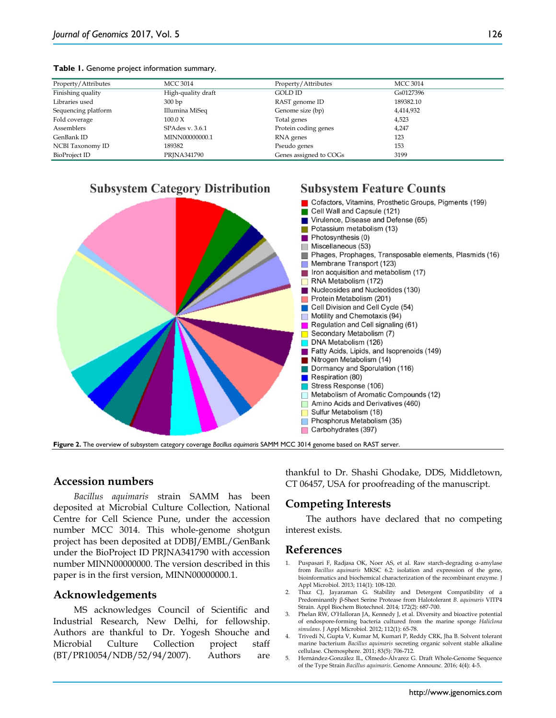| Property/Attributes  | <b>MCC 3014</b>    | Property/Attributes    | <b>MCC 3014</b> |
|----------------------|--------------------|------------------------|-----------------|
| Finishing quality    | High-quality draft | GOLD ID                | Gs0127396       |
| Libraries used       | 300bp              | RAST genome ID         | 189382.10       |
| Sequencing platform  | Illumina MiSeq     | Genome size (bp)       | 4,414,932       |
| Fold coverage        | 100.0 X            | Total genes            | 4,523           |
| Assemblers           | SPAdes v. 3.6.1    | Protein coding genes   | 4,247           |
| GenBank ID           | MINN00000000.1     | RNA genes              | 123             |
| NCBI Taxonomy ID     | 189382             | Pseudo genes           | 153             |
| <b>BioProject ID</b> | PRJNA341790        | Genes assigned to COGs | 3199            |

#### **Table 1.** Genome project information summary.

## **Subsystem Category Distribution**



## **Accession numbers**

*Bacillus aquimaris* strain SAMM has been deposited at Microbial Culture Collection, National Centre for Cell Science Pune, under the accession number MCC 3014. This whole-genome shotgun project has been deposited at DDBJ/EMBL/GenBank under the BioProject ID PRJNA341790 with accession number MINN00000000. The version described in this paper is in the first version, MINN00000000.1.

## **Acknowledgements**

MS acknowledges Council of Scientific and Industrial Research, New Delhi, for fellowship. Authors are thankful to Dr. Yogesh Shouche and Microbial Culture Collection project staff (BT/PR10054/NDB/52/94/2007). Authors are thankful to Dr. Shashi Ghodake, DDS, Middletown, CT 06457, USA for proofreading of the manuscript.

**Subsystem Feature Counts** 

## **Competing Interests**

The authors have declared that no competing interest exists.

## **References**

- 1. Puspasari F, Radjasa OK, Noer AS, et al. Raw starch-degrading α-amylase from *Bacillus aquimaris* MKSC 6.2: isolation and expression of the gene, bioinformatics and biochemical characterization of the recombinant enzyme. J Appl Microbiol. 2013; 114(1): 108-120.
- 2. Thaz CJ, Jayaraman G. Stability and Detergent Compatibility of a Predominantly β-Sheet Serine Protease from Halotolerant *B. aquimaris* VITP4 Strain. Appl Biochem Biotechnol. 2014; 172(2): 687-700.
- 3. Phelan RW, O'Halloran JA, Kennedy J, et al. Diversity and bioactive potential of endospore-forming bacteria cultured from the marine sponge *Haliclona simulans*. J Appl Microbiol. 2012; 112(1): 65-78.
- 4. Trivedi N, Gupta V, Kumar M, Kumari P, Reddy CRK, Jha B. Solvent tolerant marine bacterium *Bacillus aquimaris* secreting organic solvent stable alkaline cellulase. Chemosphere. 2011; 83(5): 706-712.
- 5. Hernández-González IL, Olmedo-Álvarez G. Draft Whole-Genome Sequence of the Type Strain *Bacillus aquimaris*. Genome Announc. 2016; 4(4): 4-5.